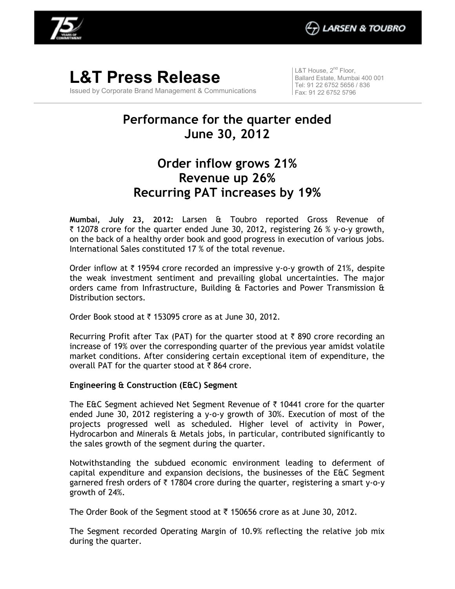

**L&T Press Release**  Issued by Corporate Brand Management & Communications  $\vert$  L&T House, 2<sup>nd</sup> Floor, Ballard Estate, Mumbai 400 001 Tel: 91 22 6752 5656 / 836 Fax: 91 22 6752 5796

# **Performance for the quarter ended June 30, 2012**

## **Order inflow grows 21% Revenue up 26% Recurring PAT increases by 19%**

**Mumbai, July 23, 2012:** Larsen & Toubro reported Gross Revenue of  $\bar{\tau}$  12078 crore for the quarter ended June 30, 2012, registering 26 % y-o-y growth, on the back of a healthy order book and good progress in execution of various jobs. International Sales constituted 17 % of the total revenue.

Order inflow at  $\bar{\tau}$  19594 crore recorded an impressive y-o-y growth of 21%, despite the weak investment sentiment and prevailing global uncertainties. The major orders came from Infrastructure, Building  $E$  Factories and Power Transmission  $E$ Distribution sectors.

Order Book stood at  $\bar{\tau}$  153095 crore as at June 30, 2012.

Recurring Profit after Tax (PAT) for the quarter stood at  $\bar{\tau}$  890 crore recording an increase of 19% over the corresponding quarter of the previous year amidst volatile market conditions. After considering certain exceptional item of expenditure, the overall PAT for the quarter stood at  $\bar{\tau}$  864 crore.

### **Engineering & Construction (E&C) Segment**

The E&C Segment achieved Net Segment Revenue of  $\bar{\tau}$  10441 crore for the quarter ended June 30, 2012 registering a y-o-y growth of 30%. Execution of most of the projects progressed well as scheduled. Higher level of activity in Power, Hydrocarbon and Minerals & Metals jobs, in particular, contributed significantly to the sales growth of the segment during the quarter.

Notwithstanding the subdued economic environment leading to deferment of capital expenditure and expansion decisions, the businesses of the E&C Segment garnered fresh orders of  $\bar{\tau}$  17804 crore during the quarter, registering a smart y-o-y growth of 24%.

The Order Book of the Segment stood at  $\bar{\tau}$  150656 crore as at June 30, 2012.

The Segment recorded Operating Margin of 10.9% reflecting the relative job mix during the quarter.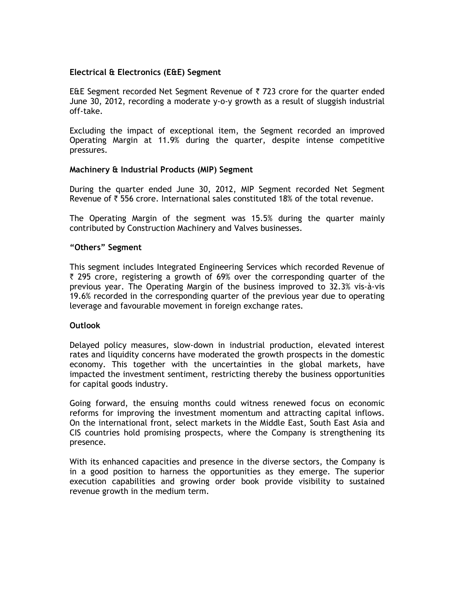### **Electrical & Electronics (E&E) Segment**

E&E Segment recorded Net Segment Revenue of  $\bar{\tau}$  723 crore for the quarter ended June 30, 2012, recording a moderate y-o-y growth as a result of sluggish industrial off-take.

Excluding the impact of exceptional item, the Segment recorded an improved Operating Margin at 11.9% during the quarter, despite intense competitive pressures.

#### **Machinery & Industrial Products (MIP) Segment**

During the quarter ended June 30, 2012, MIP Segment recorded Net Segment Revenue of  $\bar{\tau}$  556 crore. International sales constituted 18% of the total revenue.

The Operating Margin of the segment was 15.5% during the quarter mainly contributed by Construction Machinery and Valves businesses.

#### **"Others" Segment**

This segment includes Integrated Engineering Services which recorded Revenue of  $\bar{\tau}$  295 crore, registering a growth of 69% over the corresponding quarter of the previous year. The Operating Margin of the business improved to 32.3% vis-à-vis 19.6% recorded in the corresponding quarter of the previous year due to operating leverage and favourable movement in foreign exchange rates.

#### **Outlook**

Delayed policy measures, slow-down in industrial production, elevated interest rates and liquidity concerns have moderated the growth prospects in the domestic economy. This together with the uncertainties in the global markets, have impacted the investment sentiment, restricting thereby the business opportunities for capital goods industry.

Going forward, the ensuing months could witness renewed focus on economic reforms for improving the investment momentum and attracting capital inflows. On the international front, select markets in the Middle East, South East Asia and CIS countries hold promising prospects, where the Company is strengthening its presence.

With its enhanced capacities and presence in the diverse sectors, the Company is in a good position to harness the opportunities as they emerge. The superior execution capabilities and growing order book provide visibility to sustained revenue growth in the medium term.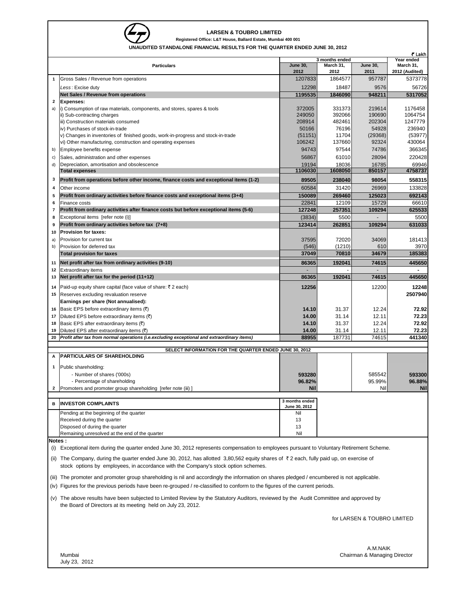

#### **LARSEN & TOUBRO LIMITED**

**Registered Office: L&T House, Ballard Estate, Mumbai 400 001**

**UNAURITY STANDALONE FINANCIAL RESULTS FOR THE QUARTER ENDED JUNE 30, 2012** 

| <b>I ANDALONE I INANGIAL REGOLTO FOR THE QUARTER LINDED JONE</b><br>₹ Lakh |                                                                                                                                                                                                                               |                         |                   |                         |                         |  |  |  |  |
|----------------------------------------------------------------------------|-------------------------------------------------------------------------------------------------------------------------------------------------------------------------------------------------------------------------------|-------------------------|-------------------|-------------------------|-------------------------|--|--|--|--|
|                                                                            |                                                                                                                                                                                                                               |                         | 3 months ended    |                         | Year ended<br>March 31, |  |  |  |  |
|                                                                            | <b>Particulars</b>                                                                                                                                                                                                            | <b>June 30,</b><br>2012 | March 31,<br>2012 | <b>June 30,</b><br>2011 | 2012 (Audited)          |  |  |  |  |
| 1                                                                          | Gross Sales / Revenue from operations                                                                                                                                                                                         | 1207833                 | 1864577           | 957787                  | 5373778                 |  |  |  |  |
|                                                                            | Less: Excise duty                                                                                                                                                                                                             | 12298                   | 18487             | 9576                    | 56726                   |  |  |  |  |
|                                                                            | <b>Net Sales / Revenue from operations</b>                                                                                                                                                                                    | 1195535                 | 1846090           | 948211                  | 5317052                 |  |  |  |  |
| 2                                                                          | <b>Expenses:</b>                                                                                                                                                                                                              |                         |                   |                         |                         |  |  |  |  |
| a)                                                                         | i) Consumption of raw materials, components, and stores, spares & tools                                                                                                                                                       | 372005                  | 331373            | 219614                  | 1176458                 |  |  |  |  |
|                                                                            | ii) Sub-contracting charges                                                                                                                                                                                                   | 249050                  | 392066            | 190690                  | 1064754                 |  |  |  |  |
|                                                                            | iii) Construction materials consumed                                                                                                                                                                                          | 208914                  | 482461            | 202304                  | 1247779                 |  |  |  |  |
|                                                                            | iv) Purchases of stock-in-trade                                                                                                                                                                                               | 50166                   | 76196             | 54928                   | 236940                  |  |  |  |  |
|                                                                            | v) Changes in inventories of finished goods, work-in-progress and stock-in-trade                                                                                                                                              | (51151)                 | 11704             | (29368)                 | (53977)                 |  |  |  |  |
|                                                                            | vi) Other manufacturing, construction and operating expenses                                                                                                                                                                  | 106242                  | 137660            | 92324                   | 430064                  |  |  |  |  |
| b)                                                                         | Employee benefits expense                                                                                                                                                                                                     | 94743                   | 97544             | 74786                   | 366345                  |  |  |  |  |
| c)                                                                         | Sales, administration and other expenses                                                                                                                                                                                      | 56867                   | 61010             | 28094                   | 220428                  |  |  |  |  |
| d)                                                                         | Depreciation, amortisation and obsolescence                                                                                                                                                                                   | 19194                   | 18036             | 16785                   | 69946                   |  |  |  |  |
|                                                                            | <b>Total expenses</b>                                                                                                                                                                                                         | 1106030                 | 1608050           | 850157                  | 4758737                 |  |  |  |  |
| 3                                                                          | Profit from operations before other income, finance costs and exceptional items (1-2)                                                                                                                                         | 89505                   | 238040            | 98054                   | 558315                  |  |  |  |  |
| 4                                                                          | Other income                                                                                                                                                                                                                  | 60584                   | 31420             | 26969                   | 133828                  |  |  |  |  |
| 5                                                                          | Profit from ordinary activities before finance costs and exceptional items (3+4)                                                                                                                                              | 150089                  | 269460            | 125023                  | 692143                  |  |  |  |  |
| 6                                                                          | Finance costs                                                                                                                                                                                                                 | 22841                   | 12109             | 15729                   | 66610                   |  |  |  |  |
| $\overline{7}$                                                             | Profit from ordinary activities after finance costs but before exceptional items (5-6)                                                                                                                                        | 127248                  | 257351            | 109294                  | 625533                  |  |  |  |  |
| 8                                                                          | Exceptional items [refer note (i)]                                                                                                                                                                                            | (3834)                  | 5500              |                         | 5500                    |  |  |  |  |
| 9                                                                          | Profit from ordinary activities before tax (7+8)                                                                                                                                                                              | 123414                  | 262851            | 109294                  | 631033                  |  |  |  |  |
| 10                                                                         | <b>Provision for taxes:</b>                                                                                                                                                                                                   |                         |                   |                         |                         |  |  |  |  |
| a)                                                                         | Provision for current tax                                                                                                                                                                                                     | 37595                   | 72020             | 34069                   | 181413                  |  |  |  |  |
| b)                                                                         | Provision for deferred tax                                                                                                                                                                                                    | (546)                   | (1210)            | 610                     | 3970                    |  |  |  |  |
|                                                                            | <b>Total provision for taxes</b>                                                                                                                                                                                              | 37049                   | 70810             | 34679                   | 185383                  |  |  |  |  |
| 11                                                                         | Net profit after tax from ordinary activities (9-10)                                                                                                                                                                          | 86365                   | 192041            | 74615                   | 445650                  |  |  |  |  |
| 12                                                                         | <b>Extraordinary items</b>                                                                                                                                                                                                    |                         |                   |                         |                         |  |  |  |  |
| 13                                                                         | Net profit after tax for the period $(11+12)$                                                                                                                                                                                 | 86365                   | 192041            | 74615                   | 445650                  |  |  |  |  |
|                                                                            |                                                                                                                                                                                                                               |                         |                   |                         |                         |  |  |  |  |
| 14                                                                         | Paid-up equity share capital (face value of share: ₹2 each)                                                                                                                                                                   | 12256                   |                   | 12200                   | 12248                   |  |  |  |  |
| 15                                                                         | Reserves excluding revaluation reserve                                                                                                                                                                                        |                         |                   |                         | 2507940                 |  |  |  |  |
|                                                                            | Earnings per share (Not annualised):                                                                                                                                                                                          |                         |                   |                         |                         |  |  |  |  |
| 16                                                                         | Basic EPS before extraordinary items (₹)                                                                                                                                                                                      | 14.10                   | 31.37             | 12.24                   | 72.92                   |  |  |  |  |
| 17                                                                         | Diluted EPS before extraordinary items $(\overline{\tau})$                                                                                                                                                                    | 14.00                   | 31.14             | 12.11                   | 72.23                   |  |  |  |  |
| 18<br>19                                                                   | Basic EPS after extraordinary items $(3)$<br>Diluted EPS after extraordinary items (₹)                                                                                                                                        | 14.10                   | 31.37             | 12.24                   | 72.92                   |  |  |  |  |
| 20                                                                         | Profit after tax from normal operations (i.e.excluding exceptional and extraordinary items)                                                                                                                                   | 14.00<br>88955          | 31.14<br>187731   | 12.11<br>74615          | 72.23<br>441340         |  |  |  |  |
|                                                                            |                                                                                                                                                                                                                               |                         |                   |                         |                         |  |  |  |  |
|                                                                            | SELECT INFORMATION FOR THE QUARTER ENDED JUNE 30, 2012                                                                                                                                                                        |                         |                   |                         |                         |  |  |  |  |
| А                                                                          | <b>PARTICULARS OF SHAREHOLDING</b>                                                                                                                                                                                            |                         |                   |                         |                         |  |  |  |  |
| 1                                                                          | Public shareholding:                                                                                                                                                                                                          |                         |                   |                         |                         |  |  |  |  |
|                                                                            | - Number of shares ('000s)                                                                                                                                                                                                    | 593280                  |                   | 585542                  | 593300                  |  |  |  |  |
|                                                                            | - Percentage of shareholding                                                                                                                                                                                                  | 96.82%                  |                   | 95.99%                  | 96.88%                  |  |  |  |  |
| 2                                                                          | Promoters and promoter group shareholding [refer note (iii) ]                                                                                                                                                                 | <b>Nil</b>              |                   | Nil                     | <b>Nil</b>              |  |  |  |  |
|                                                                            |                                                                                                                                                                                                                               |                         |                   |                         |                         |  |  |  |  |
| в                                                                          | <b>INVESTOR COMPLAINTS</b>                                                                                                                                                                                                    | 3 months ended          |                   |                         |                         |  |  |  |  |
|                                                                            | Pending at the beginning of the quarter                                                                                                                                                                                       | June 30, 2012<br>Nil    |                   |                         |                         |  |  |  |  |
|                                                                            | Received during the quarter                                                                                                                                                                                                   | 13                      |                   |                         |                         |  |  |  |  |
|                                                                            | Disposed of during the quarter                                                                                                                                                                                                | 13                      |                   |                         |                         |  |  |  |  |
|                                                                            | Remaining unresolved at the end of the quarter                                                                                                                                                                                | Nil                     |                   |                         |                         |  |  |  |  |
| Notes:                                                                     |                                                                                                                                                                                                                               |                         |                   |                         |                         |  |  |  |  |
|                                                                            | (i) Exceptional item during the quarter ended June 30, 2012 represents compensation to employees pursuant to Voluntary Retirement Scheme.                                                                                     |                         |                   |                         |                         |  |  |  |  |
|                                                                            |                                                                                                                                                                                                                               |                         |                   |                         |                         |  |  |  |  |
|                                                                            | (ii) The Company, during the quarter ended June 30, 2012, has allotted 3,80,562 equity shares of ₹2 each, fully paid up, on exercise of<br>stock options by employees, in accordance with the Company's stock option schemes. |                         |                   |                         |                         |  |  |  |  |
|                                                                            | (iii) The promoter and promoter group shareholding is nil and accordingly the information on shares pledged / encumbered is not applicable.                                                                                   |                         |                   |                         |                         |  |  |  |  |
|                                                                            | (iv) Figures for the previous periods have been re-grouped / re-classified to conform to the figures of the current periods.                                                                                                  |                         |                   |                         |                         |  |  |  |  |
|                                                                            | (v) The above results have been subjected to Limited Review by the Statutory Auditors, reviewed by the Audit Committee and approved by<br>the Board of Directors at its meeting held on July 23, 2012.                        |                         |                   |                         |                         |  |  |  |  |
|                                                                            | for LARSEN & TOUBRO LIMITED                                                                                                                                                                                                   |                         |                   |                         |                         |  |  |  |  |
|                                                                            |                                                                                                                                                                                                                               |                         |                   |                         |                         |  |  |  |  |